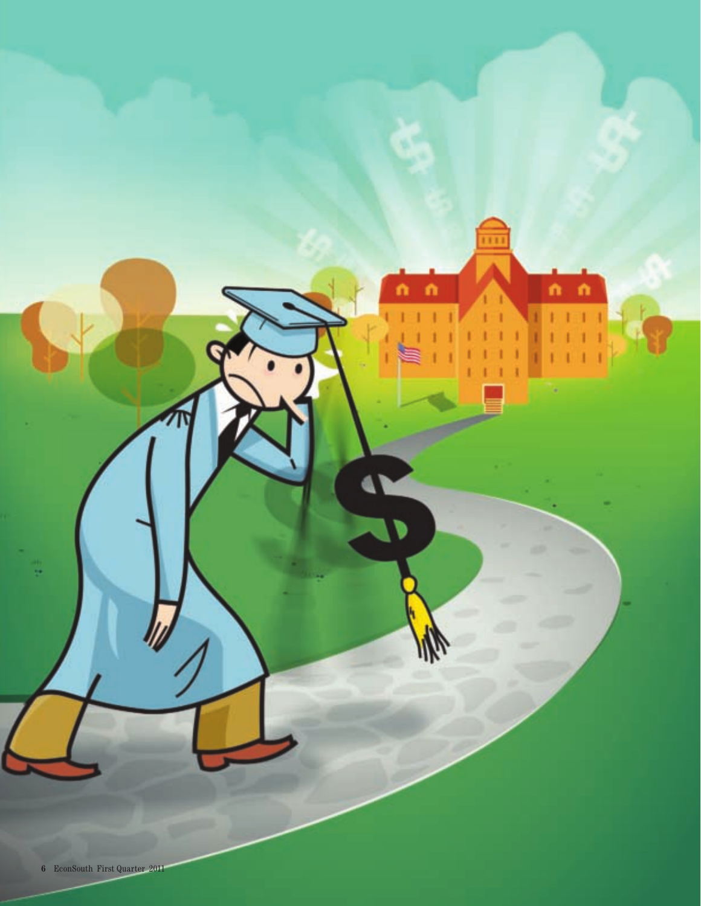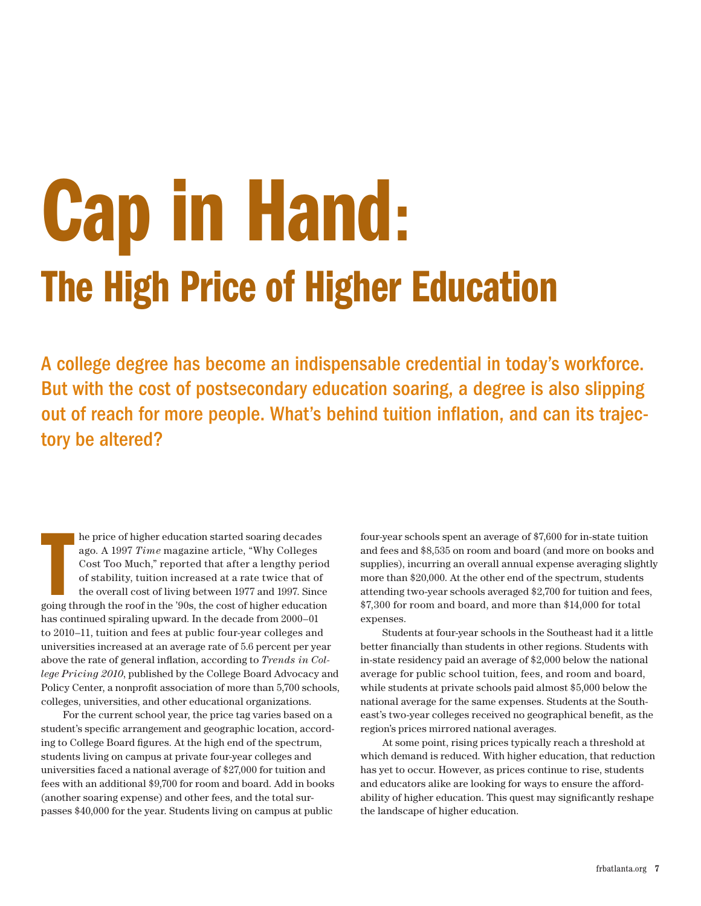# **Cap in Hand: The High Price of Higher Education**

A college degree has become an indispensable credential in today's workforce. But with the cost of postsecondary education soaring, a degree is also slipping out of reach for more people. What's behind tuition inflation, and can its trajectory be altered?

he price of higher education started soaring decades ago. A 1997 *Time* magazine article, "Why Colleges Cost Too Much," reported that after a lengthy period of stability, tuition increased at a rate twice that of the overa he price of higher education started soaring decades ago. A 1997 *Time* magazine article, "Why Colleges Cost Too Much," reported that after a lengthy period of stability, tuition increased at a rate twice that of the overall cost of living between 1977 and 1997. Since has continued spiraling upward. In the decade from 2000–01 to 2010–11, tuition and fees at public four-year colleges and universities increased at an average rate of 5.6 percent per year above the rate of general inflation, according to *Trends in College Pricing 2010*, published by the College Board Advocacy and Policy Center, a nonprofit association of more than 5,700 schools, colleges, universities, and other educational organizations.

For the current school year, the price tag varies based on a student's specific arrangement and geographic location, according to College Board figures. At the high end of the spectrum, students living on campus at private four-year colleges and universities faced a national average of \$27,000 for tuition and fees with an additional \$9,700 for room and board. Add in books (another soaring expense) and other fees, and the total surpasses \$40,000 for the year. Students living on campus at public

four-year schools spent an average of \$7,600 for in-state tuition and fees and \$8,535 on room and board (and more on books and supplies), incurring an overall annual expense averaging slightly more than \$20,000. At the other end of the spectrum, students attending two-year schools averaged \$2,700 for tuition and fees, \$7,300 for room and board, and more than \$14,000 for total expenses.

Students at four-year schools in the Southeast had it a little better financially than students in other regions. Students with in-state residency paid an average of \$2,000 below the national average for public school tuition, fees, and room and board, while students at private schools paid almost \$5,000 below the national average for the same expenses. Students at the Southeast's two-year colleges received no geographical benefit, as the region's prices mirrored national averages.

At some point, rising prices typically reach a threshold at which demand is reduced. With higher education, that reduction has yet to occur. However, as prices continue to rise, students and educators alike are looking for ways to ensure the affordability of higher education. This quest may significantly reshape the landscape of higher education.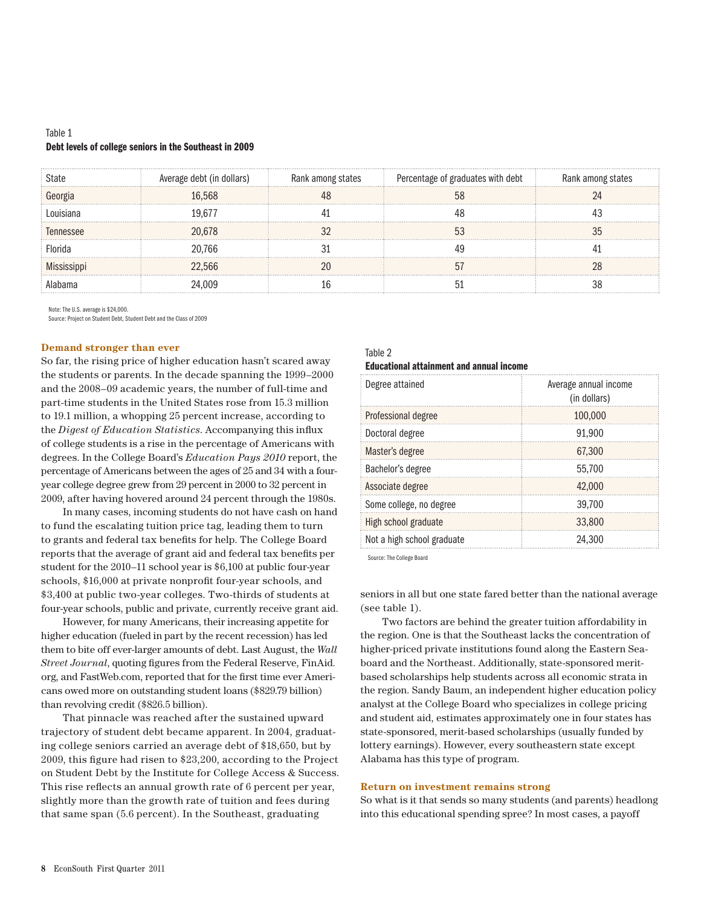# Table 1 **Debt levels of college seniors in the Southeast in 2009**

|             | Average debt (in dollars) | Rank among states | Percentage of graduates with debt | Rank among |
|-------------|---------------------------|-------------------|-----------------------------------|------------|
| Georgia     |                           |                   |                                   |            |
| ouisiana    | 967                       |                   |                                   |            |
| ennessee    | 1678                      |                   |                                   |            |
| Florida     | 20.766                    |                   |                                   |            |
| Mississippi | 22.566                    |                   |                                   |            |
|             | 24 UUd                    |                   |                                   |            |

Note: The U.S. average is \$24,000.

Source: Project on Student Debt, Student Debt and the Class of 2009

#### **Demand stronger than ever**

So far, the rising price of higher education hasn't scared away the students or parents. In the decade spanning the 1999–2000 and the 2008–09 academic years, the number of full-time and part-time students in the United States rose from 15.3 million to 19.1 million, a whopping 25 percent increase, according to the *Digest of Education Statistics*. Accompanying this influx of college students is a rise in the percentage of Americans with degrees. In the College Board's *Education Pays 2010* report, the percentage of Americans between the ages of 25 and 34 with a fouryear college degree grew from 29 percent in 2000 to 32 percent in 2009, after having hovered around 24 percent through the 1980s.

In many cases, incoming students do not have cash on hand to fund the escalating tuition price tag, leading them to turn to grants and federal tax benefits for help. The College Board reports that the average of grant aid and federal tax benefits per student for the 2010–11 school year is \$6,100 at public four-year schools, \$16,000 at private nonprofit four-year schools, and \$3,400 at public two-year colleges. Two-thirds of students at four-year schools, public and private, currently receive grant aid.

However, for many Americans, their increasing appetite for higher education (fueled in part by the recent recession) has led them to bite off ever-larger amounts of debt. Last August, the *Wall Street Journal*, quoting figures from the Federal Reserve, FinAid. org, and FastWeb.com, reported that for the first time ever Americans owed more on outstanding student loans (\$829.79 billion) than revolving credit (\$826.5 billion).

That pinnacle was reached after the sustained upward trajectory of student debt became apparent. In 2004, graduating college seniors carried an average debt of \$18,650, but by 2009, this figure had risen to \$23,200, according to the Project on Student Debt by the Institute for College Access & Success. This rise reflects an annual growth rate of 6 percent per year, slightly more than the growth rate of tuition and fees during that same span (5.6 percent). In the Southeast, graduating

## Table 2 **Educational attainment and annual income**

| Degree attained            | Average annual income<br>(in dollars) |  |
|----------------------------|---------------------------------------|--|
| Professional degree        | 100,000                               |  |
| Doctoral degree            | 91,900                                |  |
| Master's degree            | 67,300                                |  |
| Bachelor's degree          | 55,700                                |  |
| Associate degree           | 42,000                                |  |
| Some college, no degree    | 39,700                                |  |
| High school graduate       | 33,800                                |  |
| Not a high school graduate | 24.300                                |  |

Source: The College Board

seniors in all but one state fared better than the national average (see table 1).

Two factors are behind the greater tuition affordability in the region. One is that the Southeast lacks the concentration of higher-priced private institutions found along the Eastern Seaboard and the Northeast. Additionally, state-sponsored meritbased scholarships help students across all economic strata in the region. Sandy Baum, an independent higher education policy analyst at the College Board who specializes in college pricing and student aid, estimates approximately one in four states has state-sponsored, merit-based scholarships (usually funded by lottery earnings). However, every southeastern state except Alabama has this type of program.

#### **Return on investment remains strong**

So what is it that sends so many students (and parents) headlong into this educational spending spree? In most cases, a payoff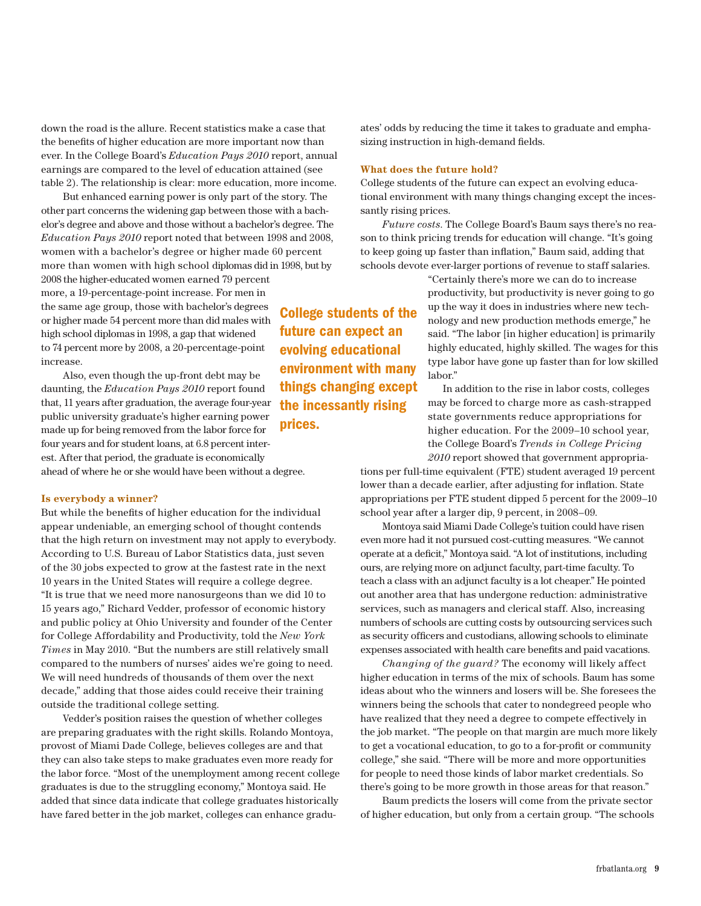down the road is the allure. Recent statistics make a case that the benefits of higher education are more important now than ever. In the College Board's *Education Pays 2010* report, annual earnings are compared to the level of education attained (see table 2). The relationship is clear: more education, more income.

But enhanced earning power is only part of the story. The other part concerns the widening gap between those with a bachelor's degree and above and those without a bachelor's degree. The *Education Pays 2010* report noted that between 1998 and 2008, women with a bachelor's degree or higher made 60 percent more than women with high school diplomas did in 1998, but by 2008 the higher-educated women earned 79 percent more, a 19-percentage-point increase. For men in the same age group, those with bachelor's degrees or higher made 54 percent more than did males with high school diplomas in 1998, a gap that widened to 74 percent more by 2008, a 20-percentage-point increase.

Also, even though the up-front debt may be daunting, the *Education Pays 2010* report found that, 11 years after graduation, the average four-year public university graduate's higher earning power made up for being removed from the labor force for four years and for student loans, at 6.8 percent interest. After that period, the graduate is economically ahead of where he or she would have been without a degree.

#### **Is everybody a winner?**

But while the benefits of higher education for the individual appear undeniable, an emerging school of thought contends that the high return on investment may not apply to everybody. According to U.S. Bureau of Labor Statistics data, just seven of the 30 jobs expected to grow at the fastest rate in the next 10 years in the United States will require a college degree. "It is true that we need more nanosurgeons than we did 10 to 15 years ago," Richard Vedder, professor of economic history and public policy at Ohio University and founder of the Center for College Affordability and Productivity, told the *New York Times* in May 2010. "But the numbers are still relatively small compared to the numbers of nurses' aides we're going to need. We will need hundreds of thousands of them over the next decade," adding that those aides could receive their training outside the traditional college setting.

Vedder's position raises the question of whether colleges are preparing graduates with the right skills. Rolando Montoya, provost of Miami Dade College, believes colleges are and that they can also take steps to make graduates even more ready for the labor force. "Most of the unemployment among recent college graduates is due to the struggling economy," Montoya said. He added that since data indicate that college graduates historically have fared better in the job market, colleges can enhance graduates' odds by reducing the time it takes to graduate and emphasizing instruction in high-demand fields.

## **What does the future hold?**

College students of the future can expect an evolving educational environment with many things changing except the incessantly rising prices.

*Future costs*. The College Board's Baum says there's no reason to think pricing trends for education will change. "It's going to keep going up faster than inflation," Baum said, adding that schools devote ever-larger portions of revenue to staff salaries.

> "Certainly there's more we can do to increase productivity, but productivity is never going to go up the way it does in industries where new technology and new production methods emerge," he said. "The labor [in higher education] is primarily highly educated, highly skilled. The wages for this type labor have gone up faster than for low skilled labor."

In addition to the rise in labor costs, colleges may be forced to charge more as cash-strapped state governments reduce appropriations for higher education. For the 2009–10 school year, the College Board's *Trends in College Pricing 2010* report showed that government appropria-

tions per full-time equivalent (FTE) student averaged 19 percent lower than a decade earlier, after adjusting for inflation. State appropriations per FTE student dipped 5 percent for the 2009–10 school year after a larger dip, 9 percent, in 2008–09.

Montoya said Miami Dade College's tuition could have risen even more had it not pursued cost-cutting measures. "We cannot operate at a deficit," Montoya said. "A lot of institutions, including ours, are relying more on adjunct faculty, part-time faculty. To teach a class with an adjunct faculty is a lot cheaper." He pointed out another area that has undergone reduction: administrative services, such as managers and clerical staff. Also, increasing numbers of schools are cutting costs by outsourcing services such as security officers and custodians, allowing schools to eliminate expenses associated with health care benefits and paid vacations.

*Changing of the guard?* The economy will likely affect higher education in terms of the mix of schools. Baum has some ideas about who the winners and losers will be. She foresees the winners being the schools that cater to nondegreed people who have realized that they need a degree to compete effectively in the job market. "The people on that margin are much more likely to get a vocational education, to go to a for-profit or community college," she said. "There will be more and more opportunities for people to need those kinds of labor market credentials. So there's going to be more growth in those areas for that reason."

Baum predicts the losers will come from the private sector of higher education, but only from a certain group. "The schools

**College students of the future can expect an evolving educational environment with many things changing except the incessantly rising prices.**